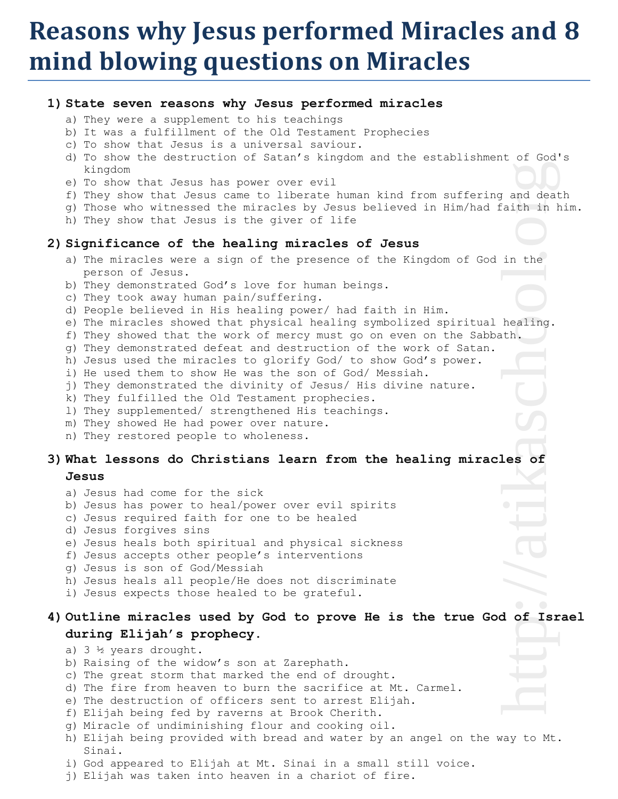## **Reasons why Jesus performed Miracles and 8 mind blowing questions on Miracles**

### **1) State seven reasons why Jesus performed miracles**

- a) They were a supplement to his teachings
- b) It was a fulfillment of the Old Testament Prophecies
- c) To show that Jesus is a universal saviour.
- d) To show the destruction of Satan's kingdom and the establishment of God's kingdom
- e) To show that Jesus has power over evil
- f) They show that Jesus came to liberate human kind from suffering and death
- g) Those who witnessed the miracles by Jesus believed in Him/had faith in him.
- h) They show that Jesus is the giver of life

### **2) Significance of the healing miracles of Jesus**

- a) The miracles were a sign of the presence of the Kingdom of God in the person of Jesus.
- b) They demonstrated God's love for human beings.
- c) They took away human pain/suffering.
- d) People believed in His healing power/ had faith in Him.
- e) The miracles showed that physical healing symbolized spiritual healing.
- f) They showed that the work of mercy must go on even on the Sabbath.
- g) They demonstrated defeat and destruction of the work of Satan.
- h) Jesus used the miracles to glorify God/ to show God's power.
- i) He used them to show He was the son of God/ Messiah.
- j) They demonstrated the divinity of Jesus/ His divine nature.
- k) They fulfilled the Old Testament prophecies.
- l) They supplemented/ strengthened His teachings.
- m) They showed He had power over nature.
- n) They restored people to wholeness.

### **3) What lessons do Christians learn from the healing miracles of**

### **Jesus**

- a) Jesus had come for the sick b) Jesus has power to heal/power over evil spirits c) Jesus required faith for one to be healed d) Jesus forgives sins e) Jesus heals both spiritual and physical sickness f) Jesus accepts other people's interventions g) Jesus is son of God/Messiah h) Jesus heals all people/He does not discriminate
- i) Jesus expects those healed to be grateful.

# **4) Outline miracles used by God to prove He is the true God of Israel during Elijah's prophecy.**  Frand deat<br>
in the<br>
healing.<br>
th.<br> **les** of Isr<br>
d of Isr

### a) 3 ½ years drought.

- b) Raising of the widow's son at Zarephath.
- c) The great storm that marked the end of drought.
- d) The fire from heaven to burn the sacrifice at Mt. Carmel.
- e) The destruction of officers sent to arrest Elijah.
- f) Elijah being fed by raverns at Brook Cherith.
- g) Miracle of undiminishing flour and cooking oil.
- h) Elijah being provided with bread and water by an angel on the way to Mt. Sinai.
- i) God appeared to Elijah at Mt. Sinai in a small still voice.
- j) Elijah was taken into heaven in a chariot of fire.